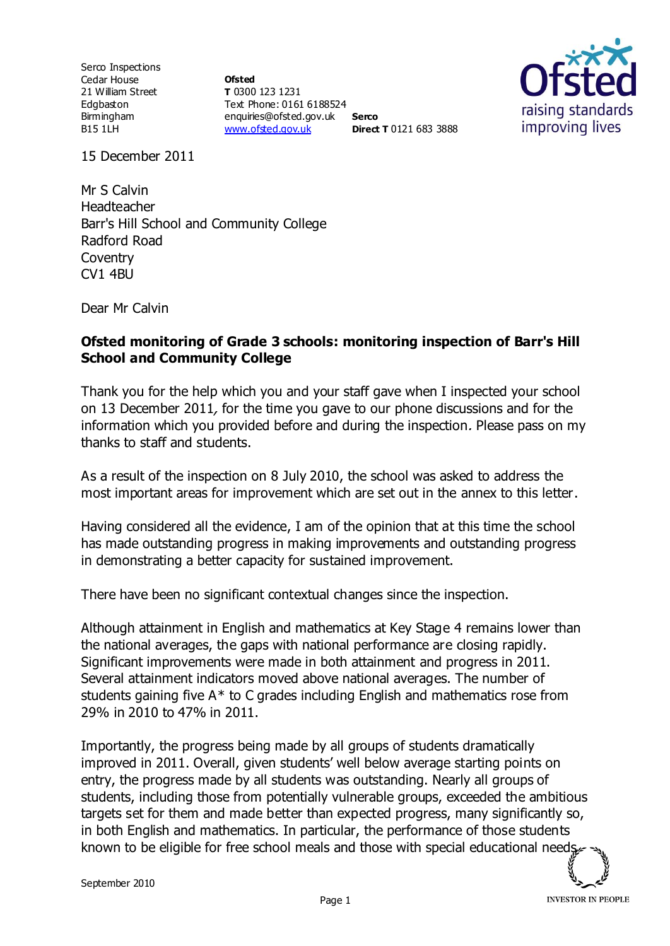Serco Inspections Cedar House 21 William Street Edgbaston Birmingham B15 1LH

**Ofsted T** 0300 123 1231 Text Phone: 0161 6188524 enquiries@ofsted.gov.uk **Serco** [www.ofsted.gov.uk](http://www.ofsted.gov.uk/) **Direct T** 0121 683 3888



15 December 2011

Mr S Calvin Headteacher Barr's Hill School and Community College Radford Road **Coventry** CV1 4BU

Dear Mr Calvin

## **Ofsted monitoring of Grade 3 schools: monitoring inspection of Barr's Hill School and Community College**

Thank you for the help which you and your staff gave when I inspected your school on 13 December 2011, for the time you gave to our phone discussions and for the information which you provided before and during the inspection. Please pass on my thanks to staff and students.

As a result of the inspection on 8 July 2010, the school was asked to address the most important areas for improvement which are set out in the annex to this letter.

Having considered all the evidence, I am of the opinion that at this time the school has made outstanding progress in making improvements and outstanding progress in demonstrating a better capacity for sustained improvement.

There have been no significant contextual changes since the inspection.

Although attainment in English and mathematics at Key Stage 4 remains lower than the national averages, the gaps with national performance are closing rapidly. Significant improvements were made in both attainment and progress in 2011. Several attainment indicators moved above national averages. The number of students gaining five A\* to C grades including English and mathematics rose from 29% in 2010 to 47% in 2011.

Importantly, the progress being made by all groups of students dramatically improved in 2011. Overall, given students' well below average starting points on entry, the progress made by all students was outstanding. Nearly all groups of students, including those from potentially vulnerable groups, exceeded the ambitious targets set for them and made better than expected progress, many significantly so, in both English and mathematics. In particular, the performance of those students known to be eligible for free school meals and those with special educational needs

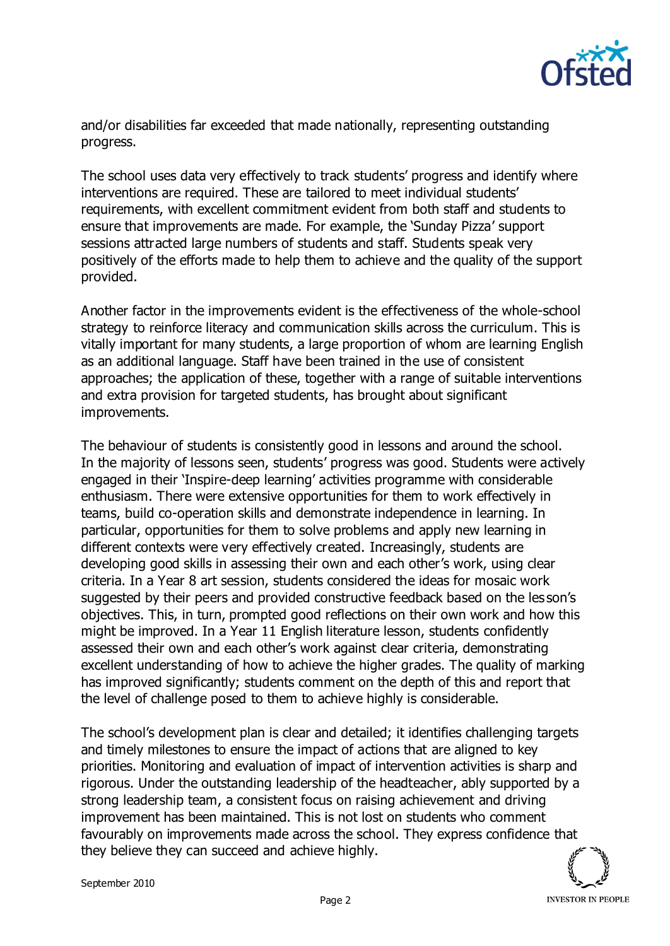

and/or disabilities far exceeded that made nationally, representing outstanding progress.

The school uses data very effectively to track students' progress and identify where interventions are required. These are tailored to meet individual students' requirements, with excellent commitment evident from both staff and students to ensure that improvements are made. For example, the 'Sunday Pizza' support sessions attracted large numbers of students and staff. Students speak very positively of the efforts made to help them to achieve and the quality of the support provided.

Another factor in the improvements evident is the effectiveness of the whole-school strategy to reinforce literacy and communication skills across the curriculum. This is vitally important for many students, a large proportion of whom are learning English as an additional language. Staff have been trained in the use of consistent approaches; the application of these, together with a range of suitable interventions and extra provision for targeted students, has brought about significant improvements.

The behaviour of students is consistently good in lessons and around the school. In the majority of lessons seen, students' progress was good. Students were actively engaged in their 'Inspire-deep learning' activities programme with considerable enthusiasm. There were extensive opportunities for them to work effectively in teams, build co-operation skills and demonstrate independence in learning. In particular, opportunities for them to solve problems and apply new learning in different contexts were very effectively created. Increasingly, students are developing good skills in assessing their own and each other's work, using clear criteria. In a Year 8 art session, students considered the ideas for mosaic work suggested by their peers and provided constructive feedback based on the les son's objectives. This, in turn, prompted good reflections on their own work and how this might be improved. In a Year 11 English literature lesson, students confidently assessed their own and each other's work against clear criteria, demonstrating excellent understanding of how to achieve the higher grades. The quality of marking has improved significantly; students comment on the depth of this and report that the level of challenge posed to them to achieve highly is considerable.

The school's development plan is clear and detailed; it identifies challenging targets and timely milestones to ensure the impact of actions that are aligned to key priorities. Monitoring and evaluation of impact of intervention activities is sharp and rigorous. Under the outstanding leadership of the headteacher, ably supported by a strong leadership team, a consistent focus on raising achievement and driving improvement has been maintained. This is not lost on students who comment favourably on improvements made across the school. They express confidence that they believe they can succeed and achieve highly.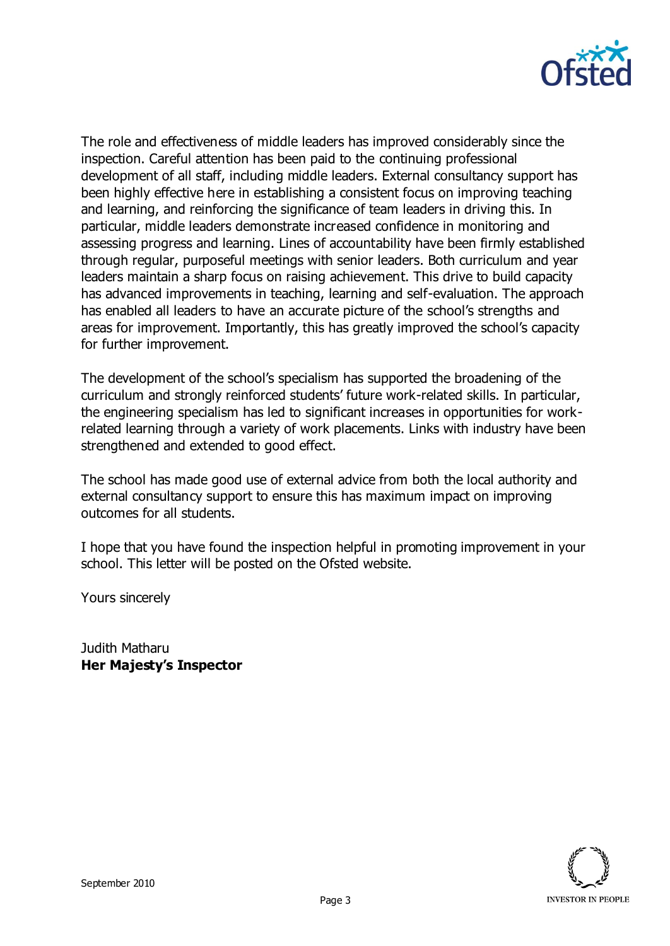

The role and effectiveness of middle leaders has improved considerably since the inspection. Careful attention has been paid to the continuing professional development of all staff, including middle leaders. External consultancy support has been highly effective here in establishing a consistent focus on improving teaching and learning, and reinforcing the significance of team leaders in driving this. In particular, middle leaders demonstrate increased confidence in monitoring and assessing progress and learning. Lines of accountability have been firmly established through regular, purposeful meetings with senior leaders. Both curriculum and year leaders maintain a sharp focus on raising achievement. This drive to build capacity has advanced improvements in teaching, learning and self-evaluation. The approach has enabled all leaders to have an accurate picture of the school's strengths and areas for improvement. Importantly, this has greatly improved the school's capacity for further improvement.

The development of the school's specialism has supported the broadening of the curriculum and strongly reinforced students' future work-related skills. In particular, the engineering specialism has led to significant increases in opportunities for workrelated learning through a variety of work placements. Links with industry have been strengthened and extended to good effect.

The school has made good use of external advice from both the local authority and external consultancy support to ensure this has maximum impact on improving outcomes for all students.

I hope that you have found the inspection helpful in promoting improvement in your school. This letter will be posted on the Ofsted website.

Yours sincerely

Judith Matharu **Her Majesty's Inspector**